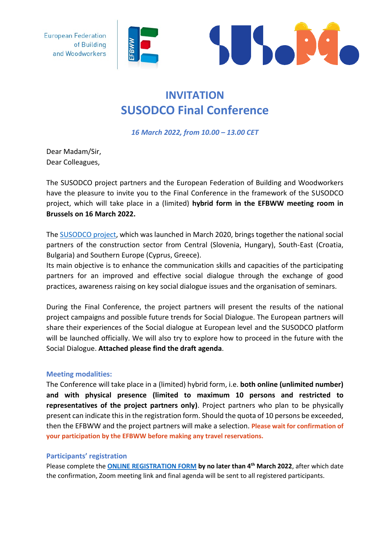**European Federation** of Building and Woodworkers





## **INVITATION SUSODCO Final Conference**

*16 March 2022, from 10.00 – 13.00 CET*

Dear Madam/Sir, Dear Colleagues,

The SUSODCO project partners and the European Federation of Building and Woodworkers have the pleasure to invite you to the Final Conference in the framework of the SUSODCO project, which will take place in a (limited) **hybrid form in the EFBWW meeting room in Brussels on 16 March 2022.**

The **SUSODCO** project, which was launched in March 2020, brings together the national social partners of the construction sector from Central (Slovenia, Hungary), South-East (Croatia, Bulgaria) and Southern Europe (Cyprus, Greece).

Its main objective is to enhance the communication skills and capacities of the participating partners for an improved and effective social dialogue through the exchange of good practices, awareness raising on key social dialogue issues and the organisation of seminars.

During the Final Conference, the project partners will present the results of the national project campaigns and possible future trends for Social Dialogue. The European partners will share their experiences of the Social dialogue at European level and the SUSODCO platform will be launched officially. We will also try to explore how to proceed in the future with the Social Dialogue. **Attached please find the draft agenda**.

## **Meeting modalities:**

The Conference will take place in a (limited) hybrid form, i.e. **both online (unlimited number) and with physical presence (limited to maximum 10 persons and restricted to representatives of the project partners only)**. Project partners who plan to be physically present can indicate this in the registration form. Should the quota of 10 persons be exceeded, then the EFBWW and the project partners will make a selection. **Please wait for confirmation of your participation by the EFBWW before making any travel reservations.**

## **Participants' registration**

Please complete the **[ONLINE REGISTRATION FORM](https://forms.office.com/Pages/ResponsePage.aspx?id=YddA8OZPWUeCpkm4zZN5OxijRVLtDjlMi30MASx2pGdUQ0wzVkQxM1VLSDg1RFc3UzY0M1NZMzFXRi4u) by no later than 4 th March 2022**, after which date the confirmation, Zoom meeting link and final agenda will be sent to all registered participants.